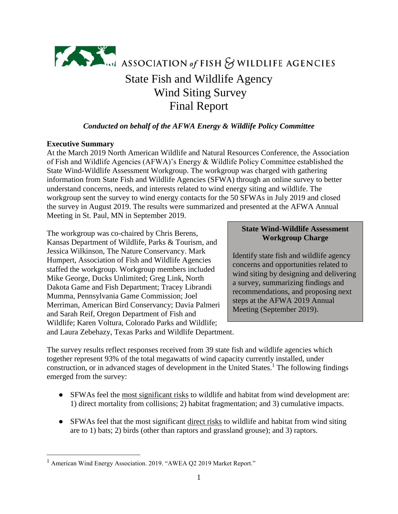

## *Conducted on behalf of the AFWA Energy & Wildlife Policy Committee*

### **Executive Summary**

 $\overline{a}$ 

At the March 2019 North American Wildlife and Natural Resources Conference, the Association of Fish and Wildlife Agencies (AFWA)'s Energy & Wildlife Policy Committee established the State Wind-Wildlife Assessment Workgroup. The workgroup was charged with gathering information from State Fish and Wildlife Agencies (SFWA) through an online survey to better understand concerns, needs, and interests related to wind energy siting and wildlife. The workgroup sent the survey to wind energy contacts for the 50 SFWAs in July 2019 and closed the survey in August 2019. The results were summarized and presented at the AFWA Annual Meeting in St. Paul, MN in September 2019.

The workgroup was co-chaired by Chris Berens, Kansas Department of Wildlife, Parks & Tourism, and Jessica Wilkinson, The Nature Conservancy. Mark Humpert, Association of Fish and Wildlife Agencies staffed the workgroup. Workgroup members included Mike George, Ducks Unlimited; Greg Link, North Dakota Game and Fish Department; Tracey Librandi Mumma, Pennsylvania Game Commission; Joel Merriman, American Bird Conservancy; Davia Palmeri and Sarah Reif, Oregon Department of Fish and Wildlife; Karen Voltura, Colorado Parks and Wildlife;

# **State Wind-Wildlife Assessment Workgroup Charge**

Identify state fish and wildlife agency concerns and opportunities related to wind siting by designing and delivering a survey, summarizing findings and recommendations, and proposing next steps at the AFWA 2019 Annual Meeting (September 2019).

and Laura Zebehazy, Texas Parks and Wildlife Department.

The survey results reflect responses received from 39 state fish and wildlife agencies which together represent 93% of the total megawatts of wind capacity currently installed, under construction, or in advanced stages of development in the United States.<sup>1</sup> The following findings emerged from the survey:

- SFWAs feel the most significant risks to wildlife and habitat from wind development are: 1) direct mortality from collisions; 2) habitat fragmentation; and 3) cumulative impacts.
- SFWAs feel that the most significant direct risks to wildlife and habitat from wind siting are to 1) bats; 2) birds (other than raptors and grassland grouse); and 3) raptors.

<sup>1</sup> American Wind Energy Association. 2019. "AWEA Q2 2019 Market Report."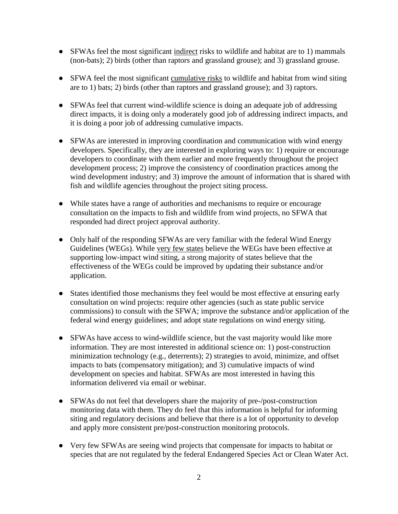- SFWAs feel the most significant indirect risks to wildlife and habitat are to 1) mammals (non-bats); 2) birds (other than raptors and grassland grouse); and 3) grassland grouse.
- SFWA feel the most significant cumulative risks to wildlife and habitat from wind siting are to 1) bats; 2) birds (other than raptors and grassland grouse); and 3) raptors.
- SFWAs feel that current wind-wildlife science is doing an adequate job of addressing direct impacts, it is doing only a moderately good job of addressing indirect impacts, and it is doing a poor job of addressing cumulative impacts.
- SFWAs are interested in improving coordination and communication with wind energy developers. Specifically, they are interested in exploring ways to: 1) require or encourage developers to coordinate with them earlier and more frequently throughout the project development process; 2) improve the consistency of coordination practices among the wind development industry; and 3) improve the amount of information that is shared with fish and wildlife agencies throughout the project siting process.
- While states have a range of authorities and mechanisms to require or encourage consultation on the impacts to fish and wildlife from wind projects, no SFWA that responded had direct project approval authority.
- Only half of the responding SFWAs are very familiar with the federal Wind Energy Guidelines (WEGs). While very few states believe the WEGs have been effective at supporting low-impact wind siting, a strong majority of states believe that the effectiveness of the WEGs could be improved by updating their substance and/or application.
- States identified those mechanisms they feel would be most effective at ensuring early consultation on wind projects: require other agencies (such as state public service commissions) to consult with the SFWA; improve the substance and/or application of the federal wind energy guidelines; and adopt state regulations on wind energy siting.
- SFWAs have access to wind-wildlife science, but the vast majority would like more information. They are most interested in additional science on: 1) post-construction minimization technology (e.g., deterrents); 2) strategies to avoid, minimize, and offset impacts to bats (compensatory mitigation); and 3) cumulative impacts of wind development on species and habitat. SFWAs are most interested in having this information delivered via email or webinar.
- SFWAs do not feel that developers share the majority of pre-/post-construction monitoring data with them. They do feel that this information is helpful for informing siting and regulatory decisions and believe that there is a lot of opportunity to develop and apply more consistent pre/post-construction monitoring protocols.
- Very few SFWAs are seeing wind projects that compensate for impacts to habitat or species that are not regulated by the federal Endangered Species Act or Clean Water Act.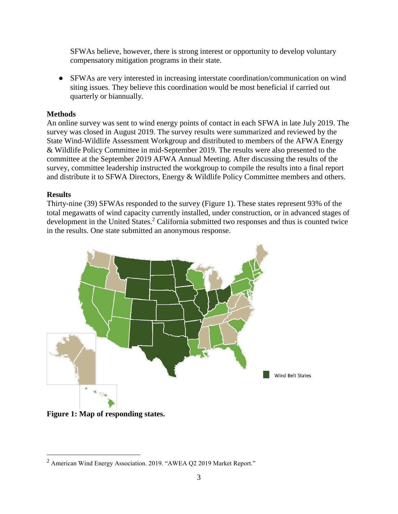SFWAs believe, however, there is strong interest or opportunity to develop voluntary compensatory mitigation programs in their state.

● SFWAs are very interested in increasing interstate coordination/communication on wind siting issues. They believe this coordination would be most beneficial if carried out quarterly or biannually.

### **Methods**

An online survey was sent to wind energy points of contact in each SFWA in late July 2019. The survey was closed in August 2019. The survey results were summarized and reviewed by the State Wind-Wildlife Assessment Workgroup and distributed to members of the AFWA Energy & Wildlife Policy Committee in mid-September 2019. The results were also presented to the committee at the September 2019 AFWA Annual Meeting. After discussing the results of the survey, committee leadership instructed the workgroup to compile the results into a final report and distribute it to SFWA Directors, Energy & Wildlife Policy Committee members and others.

#### **Results**

 $\overline{a}$ 

Thirty-nine (39) SFWAs responded to the survey (Figure 1). These states represent 93% of the total megawatts of wind capacity currently installed, under construction, or in advanced stages of development in the United States.<sup>2</sup> California submitted two responses and thus is counted twice in the results. One state submitted an anonymous response.





<sup>2</sup> American Wind Energy Association. 2019. "AWEA Q2 2019 Market Report."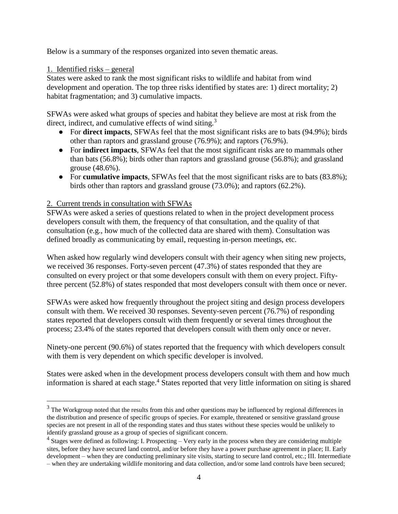Below is a summary of the responses organized into seven thematic areas.

### 1. Identified risks – general

 $\overline{a}$ 

States were asked to rank the most significant risks to wildlife and habitat from wind development and operation. The top three risks identified by states are: 1) direct mortality; 2) habitat fragmentation; and 3) cumulative impacts.

SFWAs were asked what groups of species and habitat they believe are most at risk from the direct, indirect, and cumulative effects of wind siting.<sup>3</sup>

- For **direct impacts**, SFWAs feel that the most significant risks are to bats (94.9%); birds other than raptors and grassland grouse (76.9%); and raptors (76.9%).
- For **indirect impacts**, SFWAs feel that the most significant risks are to mammals other than bats (56.8%); birds other than raptors and grassland grouse (56.8%); and grassland grouse (48.6%).
- For **cumulative impacts**, SFWAs feel that the most significant risks are to bats (83.8%); birds other than raptors and grassland grouse (73.0%); and raptors (62.2%).

### 2. Current trends in consultation with SFWAs

SFWAs were asked a series of questions related to when in the project development process developers consult with them, the frequency of that consultation, and the quality of that consultation (e.g., how much of the collected data are shared with them). Consultation was defined broadly as communicating by email, requesting in-person meetings, etc.

When asked how regularly wind developers consult with their agency when siting new projects, we received 36 responses. Forty-seven percent (47.3%) of states responded that they are consulted on every project or that some developers consult with them on every project. Fiftythree percent (52.8%) of states responded that most developers consult with them once or never.

SFWAs were asked how frequently throughout the project siting and design process developers consult with them. We received 30 responses. Seventy-seven percent (76.7%) of responding states reported that developers consult with them frequently or several times throughout the process; 23.4% of the states reported that developers consult with them only once or never.

Ninety-one percent (90.6%) of states reported that the frequency with which developers consult with them is very dependent on which specific developer is involved.

States were asked when in the development process developers consult with them and how much information is shared at each stage. <sup>4</sup> States reported that very little information on siting is shared

<sup>&</sup>lt;sup>3</sup> The Workgroup noted that the results from this and other questions may be influenced by regional differences in the distribution and presence of specific groups of species. For example, threatened or sensitive grassland grouse species are not present in all of the responding states and thus states without these species would be unlikely to identify grassland grouse as a group of species of significant concern.

<sup>&</sup>lt;sup>4</sup> Stages were defined as following: I. Prospecting – Very early in the process when they are considering multiple sites, before they have secured land control, and/or before they have a power purchase agreement in place; II. Early development – when they are conducting preliminary site visits, starting to secure land control, etc.; III. Intermediate – when they are undertaking wildlife monitoring and data collection, and/or some land controls have been secured;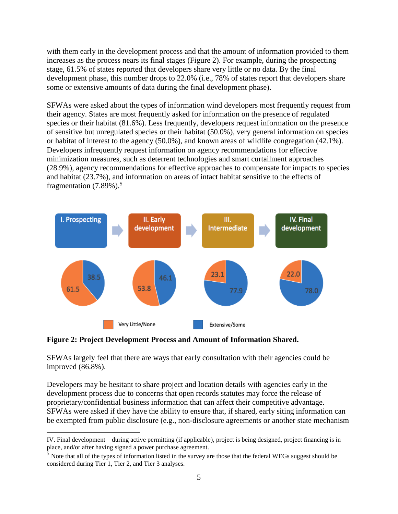with them early in the development process and that the amount of information provided to them increases as the process nears its final stages (Figure 2). For example, during the prospecting stage, 61.5% of states reported that developers share very little or no data. By the final development phase, this number drops to 22.0% (i.e., 78% of states report that developers share some or extensive amounts of data during the final development phase).

SFWAs were asked about the types of information wind developers most frequently request from their agency. States are most frequently asked for information on the presence of regulated species or their habitat (81.6%). Less frequently, developers request information on the presence of sensitive but unregulated species or their habitat (50.0%), very general information on species or habitat of interest to the agency (50.0%), and known areas of wildlife congregation (42.1%). Developers infrequently request information on agency recommendations for effective minimization measures, such as deterrent technologies and smart curtailment approaches (28.9%), agency recommendations for effective approaches to compensate for impacts to species and habitat (23.7%), and information on areas of intact habitat sensitive to the effects of fragmentation  $(7.89\%)$ .<sup>5</sup>



**Figure 2: Project Development Process and Amount of Information Shared.**

 $\overline{a}$ 

SFWAs largely feel that there are ways that early consultation with their agencies could be improved (86.8%).

Developers may be hesitant to share project and location details with agencies early in the development process due to concerns that open records statutes may force the release of proprietary/confidential business information that can affect their competitive advantage. SFWAs were asked if they have the ability to ensure that, if shared, early siting information can be exempted from public disclosure (e.g., non-disclosure agreements or another state mechanism

IV. Final development – during active permitting (if applicable), project is being designed, project financing is in place, and/or after having signed a power purchase agreement.

 $\frac{5}{5}$  Note that all of the types of information listed in the survey are those that the federal WEGs suggest should be considered during Tier 1, Tier 2, and Tier 3 analyses.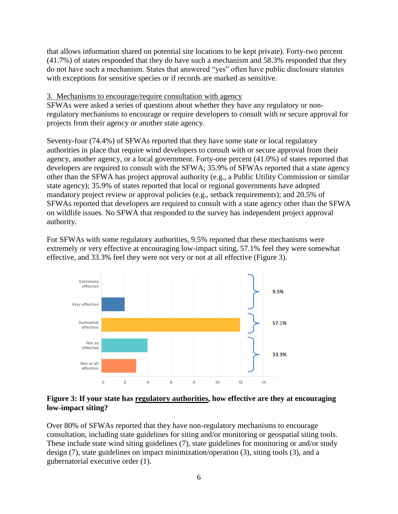that allows information shared on potential site locations to be kept private). Forty-two percent (41.7%) of states responded that they do have such a mechanism and 58.3% responded that they do not have such a mechanism. States that answered "yes" often have public disclosure statutes with exceptions for sensitive species or if records are marked as sensitive.

#### 3. Mechanisms to encourage/require consultation with agency

SFWAs were asked a series of questions about whether they have any regulatory or nonregulatory mechanisms to encourage or require developers to consult with or secure approval for projects from their agency or another state agency.

Seventy-four (74.4%) of SFWAs reported that they have some state or local regulatory authorities in place that require wind developers to consult with or secure approval from their agency, another agency, or a local government. Forty-one percent (41.0%) of states reported that developers are required to consult with the SFWA; 35.9% of SFWAs reported that a state agency other than the SFWA has project approval authority (e.g., a Public Utility Commission or similar state agency); 35.9% of states reported that local or regional governments have adopted mandatory project review or approval policies (e.g., setback requirements); and 20.5% of SFWAs reported that developers are required to consult with a state agency other than the SFWA on wildlife issues. No SFWA that responded to the survey has independent project approval authority.

For SFWAs with some regulatory authorities, 9.5% reported that these mechanisms were extremely or very effective at encouraging low-impact siting, 57.1% feel they were somewhat effective, and 33.3% feel they were not very or not at all effective (Figure 3).



#### **Figure 3: If your state has regulatory authorities, how effective are they at encouraging low-impact siting?**

Over 80% of SFWAs reported that they have non-regulatory mechanisms to encourage consultation, including state guidelines for siting and/or monitoring or geospatial siting tools. These include state wind siting guidelines (7), state guidelines for monitoring or and/or study design (7), state guidelines on impact minimization/operation (3), siting tools (3), and a gubernatorial executive order (1).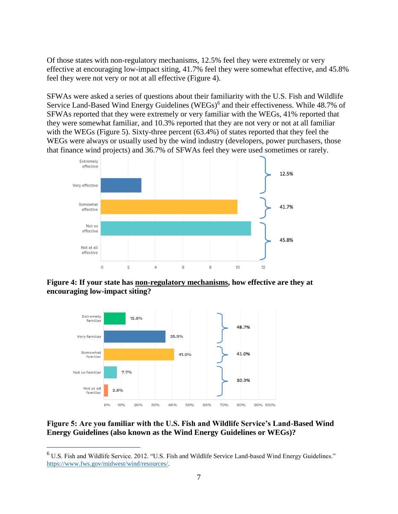Of those states with non-regulatory mechanisms, 12.5% feel they were extremely or very effective at encouraging low-impact siting, 41.7% feel they were somewhat effective, and 45.8% feel they were not very or not at all effective (Figure 4).

SFWAs were asked a series of questions about their familiarity with the U.S. Fish and Wildlife Service Land-Based Wind Energy Guidelines (WEGs)<sup>6</sup> and their effectiveness. While 48.7% of SFWAs reported that they were extremely or very familiar with the WEGs, 41% reported that they were somewhat familiar, and 10.3% reported that they are not very or not at all familiar with the WEGs (Figure 5). Sixty-three percent (63.4%) of states reported that they feel the WEGs were always or usually used by the wind industry (developers, power purchasers, those that finance wind projects) and 36.7% of SFWAs feel they were used sometimes or rarely.



**Figure 4: If your state has non-regulatory mechanisms, how effective are they at encouraging low-impact siting?**



 $\overline{a}$ 

## **Figure 5: Are you familiar with the U.S. Fish and Wildlife Service's Land-Based Wind Energy Guidelines (also known as the Wind Energy Guidelines or WEGs)?**

<sup>6</sup> U.S. Fish and Wildlife Service. 2012. "U.S. Fish and Wildlife Service Land-based Wind Energy Guidelines." [https://www.fws.gov/midwest/wind/resources/.](https://www.fws.gov/midwest/wind/resources/)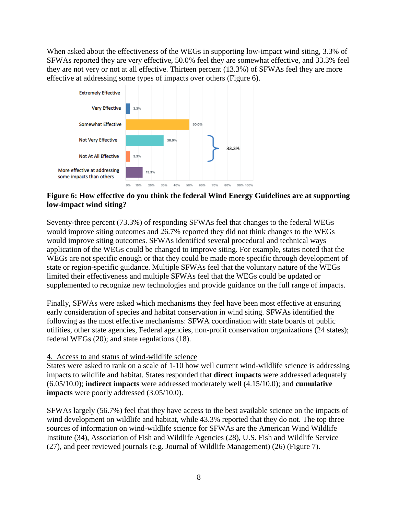When asked about the effectiveness of the WEGs in supporting low-impact wind siting, 3.3% of SFWAs reported they are very effective, 50.0% feel they are somewhat effective, and 33.3% feel they are not very or not at all effective. Thirteen percent (13.3%) of SFWAs feel they are more effective at addressing some types of impacts over others (Figure 6).



## **Figure 6: How effective do you think the federal Wind Energy Guidelines are at supporting low-impact wind siting?**

Seventy-three percent (73.3%) of responding SFWAs feel that changes to the federal WEGs would improve siting outcomes and 26.7% reported they did not think changes to the WEGs would improve siting outcomes. SFWAs identified several procedural and technical ways application of the WEGs could be changed to improve siting. For example, states noted that the WEGs are not specific enough or that they could be made more specific through development of state or region-specific guidance. Multiple SFWAs feel that the voluntary nature of the WEGs limited their effectiveness and multiple SFWAs feel that the WEGs could be updated or supplemented to recognize new technologies and provide guidance on the full range of impacts.

Finally, SFWAs were asked which mechanisms they feel have been most effective at ensuring early consideration of species and habitat conservation in wind siting. SFWAs identified the following as the most effective mechanisms: SFWA coordination with state boards of public utilities, other state agencies, Federal agencies, non-profit conservation organizations (24 states); federal WEGs (20); and state regulations (18).

#### 4. Access to and status of wind-wildlife science

States were asked to rank on a scale of 1-10 how well current wind-wildlife science is addressing impacts to wildlife and habitat. States responded that **direct impacts** were addressed adequately (6.05/10.0); **indirect impacts** were addressed moderately well (4.15/10.0); and **cumulative impacts** were poorly addressed (3.05/10.0).

SFWAs largely (56.7%) feel that they have access to the best available science on the impacts of wind development on wildlife and habitat, while 43.3% reported that they do not. The top three sources of information on wind-wildlife science for SFWAs are the American Wind Wildlife Institute (34), Association of Fish and Wildlife Agencies (28), U.S. Fish and Wildlife Service (27), and peer reviewed journals (e.g. Journal of Wildlife Management) (26) (Figure 7).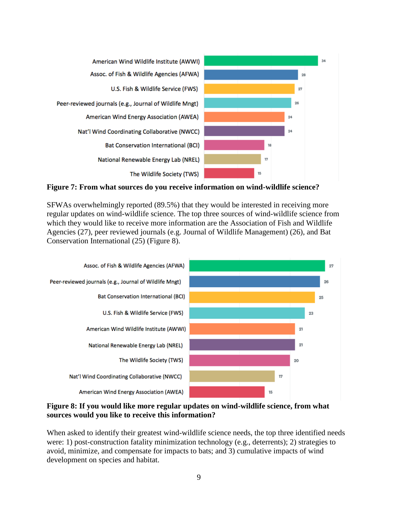

**Figure 7: From what sources do you receive information on wind-wildlife science?**

SFWAs overwhelmingly reported (89.5%) that they would be interested in receiving more regular updates on wind-wildlife science. The top three sources of wind-wildlife science from which they would like to receive more information are the Association of Fish and Wildlife Agencies (27), peer reviewed journals (e.g. Journal of Wildlife Management) (26), and Bat Conservation International (25) (Figure 8).



**Figure 8: If you would like more regular updates on wind-wildlife science, from what sources would you like to receive this information?**

When asked to identify their greatest wind-wildlife science needs, the top three identified needs were: 1) post-construction fatality minimization technology (e.g., deterrents); 2) strategies to avoid, minimize, and compensate for impacts to bats; and 3) cumulative impacts of wind development on species and habitat.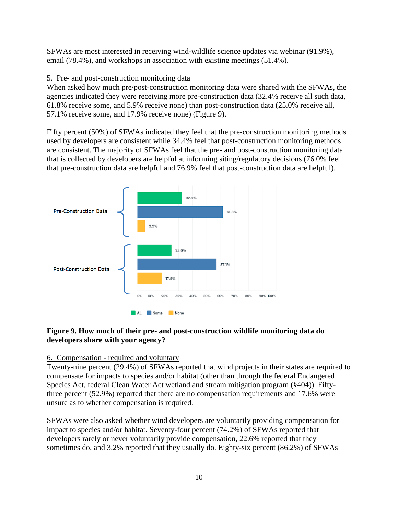SFWAs are most interested in receiving wind-wildlife science updates via webinar (91.9%), email (78.4%), and workshops in association with existing meetings (51.4%).

## 5. Pre- and post-construction monitoring data

When asked how much pre/post-construction monitoring data were shared with the SFWAs, the agencies indicated they were receiving more pre-construction data (32.4% receive all such data, 61.8% receive some, and 5.9% receive none) than post-construction data (25.0% receive all, 57.1% receive some, and 17.9% receive none) (Figure 9).

Fifty percent (50%) of SFWAs indicated they feel that the pre-construction monitoring methods used by developers are consistent while 34.4% feel that post-construction monitoring methods are consistent. The majority of SFWAs feel that the pre- and post-construction monitoring data that is collected by developers are helpful at informing siting/regulatory decisions (76.0% feel that pre-construction data are helpful and 76.9% feel that post-construction data are helpful).



## **Figure 9. How much of their pre- and post-construction wildlife monitoring data do developers share with your agency?**

#### 6. Compensation - required and voluntary

Twenty-nine percent (29.4%) of SFWAs reported that wind projects in their states are required to compensate for impacts to species and/or habitat (other than through the federal Endangered Species Act, federal Clean Water Act wetland and stream mitigation program (§404)). Fiftythree percent (52.9%) reported that there are no compensation requirements and 17.6% were unsure as to whether compensation is required.

SFWAs were also asked whether wind developers are voluntarily providing compensation for impact to species and/or habitat. Seventy-four percent (74.2%) of SFWAs reported that developers rarely or never voluntarily provide compensation, 22.6% reported that they sometimes do, and 3.2% reported that they usually do. Eighty-six percent (86.2%) of SFWAs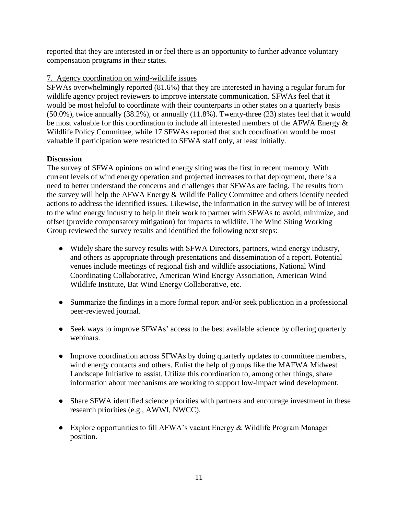reported that they are interested in or feel there is an opportunity to further advance voluntary compensation programs in their states.

## 7. Agency coordination on wind-wildlife issues

SFWAs overwhelmingly reported (81.6%) that they are interested in having a regular forum for wildlife agency project reviewers to improve interstate communication. SFWAs feel that it would be most helpful to coordinate with their counterparts in other states on a quarterly basis (50.0%), twice annually (38.2%), or annually (11.8%). Twenty-three (23) states feel that it would be most valuable for this coordination to include all interested members of the AFWA Energy & Wildlife Policy Committee, while 17 SFWAs reported that such coordination would be most valuable if participation were restricted to SFWA staff only, at least initially.

## **Discussion**

The survey of SFWA opinions on wind energy siting was the first in recent memory. With current levels of wind energy operation and projected increases to that deployment, there is a need to better understand the concerns and challenges that SFWAs are facing. The results from the survey will help the AFWA Energy & Wildlife Policy Committee and others identify needed actions to address the identified issues. Likewise, the information in the survey will be of interest to the wind energy industry to help in their work to partner with SFWAs to avoid, minimize, and offset (provide compensatory mitigation) for impacts to wildlife. The Wind Siting Working Group reviewed the survey results and identified the following next steps:

- Widely share the survey results with SFWA Directors, partners, wind energy industry, and others as appropriate through presentations and dissemination of a report. Potential venues include meetings of regional fish and wildlife associations, National Wind Coordinating Collaborative, American Wind Energy Association, American Wind Wildlife Institute, Bat Wind Energy Collaborative, etc.
- Summarize the findings in a more formal report and/or seek publication in a professional peer-reviewed journal.
- Seek ways to improve SFWAs' access to the best available science by offering quarterly webinars.
- Improve coordination across SFWAs by doing quarterly updates to committee members, wind energy contacts and others. Enlist the help of groups like the MAFWA Midwest Landscape Initiative to assist. Utilize this coordination to, among other things, share information about mechanisms are working to support low-impact wind development.
- Share SFWA identified science priorities with partners and encourage investment in these research priorities (e.g., AWWI, NWCC).
- Explore opportunities to fill AFWA's vacant Energy & Wildlife Program Manager position.